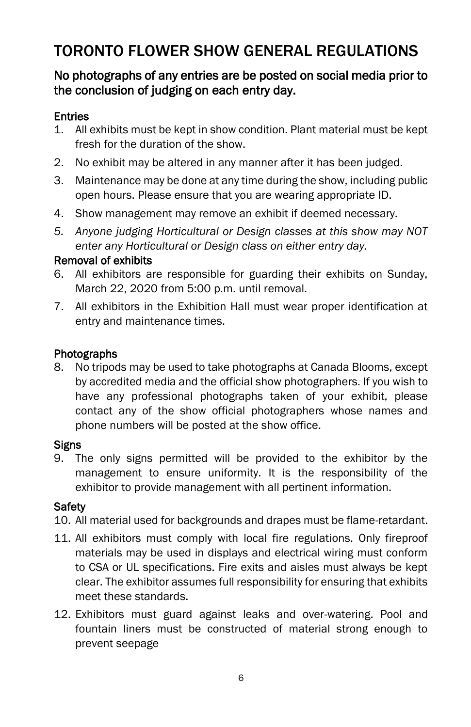# TORONTO FLOWER SHOW GENERAL REGULATIONS

## No photographs of any entries are be posted on social media prior to the conclusion of judging on each entry day.

## **Entries**

- 1. All exhibits must be kept in show condition. Plant material must be kept fresh for the duration of the show.
- 2. No exhibit may be altered in any manner after it has been judged.
- 3. Maintenance may be done at any time during the show, including public open hours. Please ensure that you are wearing appropriate ID.
- 4. Show management may remove an exhibit if deemed necessary.
- *5. Anyone judging Horticultural or Design classes at this show may NOT enter any Horticultural or Design class on either entry day.*

#### Removal of exhibits

- 6. All exhibitors are responsible for guarding their exhibits on Sunday, March 22, 2020 from 5:00 p.m. until removal.
- 7. All exhibitors in the Exhibition Hall must wear proper identification at entry and maintenance times.

## Photographs

8. No tripods may be used to take photographs at Canada Blooms, except by accredited media and the official show photographers. If you wish to have any professional photographs taken of your exhibit, please contact any of the show official photographers whose names and phone numbers will be posted at the show office.

## **Signs**

9. The only signs permitted will be provided to the exhibitor by the management to ensure uniformity. It is the responsibility of the exhibitor to provide management with all pertinent information.

## **Safety**

- 10. All material used for backgrounds and drapes must be flame-retardant.
- 11. All exhibitors must comply with local fire regulations. Only fireproof materials may be used in displays and electrical wiring must conform to CSA or UL specifications. Fire exits and aisles must always be kept clear. The exhibitor assumes full responsibility for ensuring that exhibits meet these standards.
- 12. Exhibitors must guard against leaks and over-watering. Pool and fountain liners must be constructed of material strong enough to prevent seepage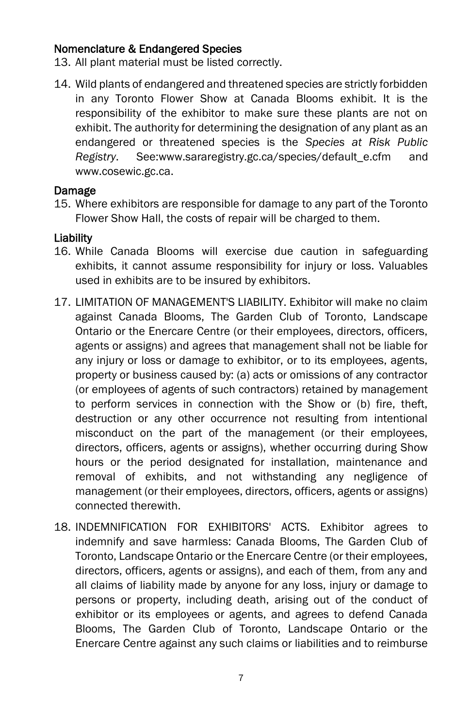#### Nomenclature & Endangered Species

- 13. All plant material must be listed correctly.
- 14. Wild plants of endangered and threatened species are strictly forbidden in any Toronto Flower Show at Canada Blooms exhibit. It is the responsibility of the exhibitor to make sure these plants are not on exhibit. The authority for determining the designation of any plant as an endangered or threatened species is the *Species at Risk Public Registry*. See:www.sararegistry.gc.ca/species/default\_e.cfm and [www.cosewic.gc.ca.](http://www.cosewic.gc.ca/)

#### Damage

15. Where exhibitors are responsible for damage to any part of the Toronto Flower Show Hall, the costs of repair will be charged to them.

#### Liability

- 16. While Canada Blooms will exercise due caution in safeguarding exhibits, it cannot assume responsibility for injury or loss. Valuables used in exhibits are to be insured by exhibitors.
- 17. LIMITATION OF MANAGEMENT'S LIABILITY. Exhibitor will make no claim against Canada Blooms, The Garden Club of Toronto, Landscape Ontario or the Enercare Centre (or their employees, directors, officers, agents or assigns) and agrees that management shall not be liable for any injury or loss or damage to exhibitor, or to its employees, agents, property or business caused by: (a) acts or omissions of any contractor (or employees of agents of such contractors) retained by management to perform services in connection with the Show or (b) fire, theft, destruction or any other occurrence not resulting from intentional misconduct on the part of the management (or their employees, directors, officers, agents or assigns), whether occurring during Show hours or the period designated for installation, maintenance and removal of exhibits, and not withstanding any negligence of management (or their employees, directors, officers, agents or assigns) connected therewith.
- 18. INDEMNIFICATION FOR EXHIBITORS' ACTS. Exhibitor agrees to indemnify and save harmless: Canada Blooms, The Garden Club of Toronto, Landscape Ontario or the Enercare Centre (or their employees, directors, officers, agents or assigns), and each of them, from any and all claims of liability made by anyone for any loss, injury or damage to persons or property, including death, arising out of the conduct of exhibitor or its employees or agents, and agrees to defend Canada Blooms, The Garden Club of Toronto, Landscape Ontario or the Enercare Centre against any such claims or liabilities and to reimburse